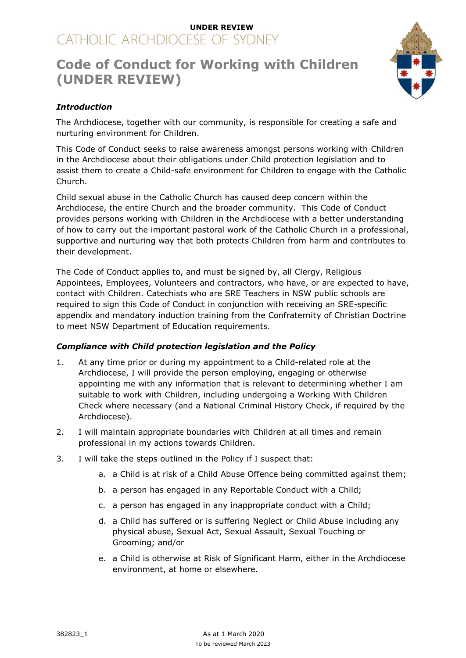## **UNDER REVIEW** CATHOLIC ARCHDIOCESE OF SYDNEY

# **Code of Conduct for Working with Children (UNDER REVIEW)**



## *Introduction*

The Archdiocese, together with our community, is responsible for creating a safe and nurturing environment for Children.

This Code of Conduct seeks to raise awareness amongst persons working with Children in the Archdiocese about their obligations under Child protection legislation and to assist them to create a Child-safe environment for Children to engage with the Catholic Church.

Child sexual abuse in the Catholic Church has caused deep concern within the Archdiocese, the entire Church and the broader community. This Code of Conduct provides persons working with Children in the Archdiocese with a better understanding of how to carry out the important pastoral work of the Catholic Church in a professional, supportive and nurturing way that both protects Children from harm and contributes to their development.

The Code of Conduct applies to, and must be signed by, all Clergy, Religious Appointees, Employees, Volunteers and contractors, who have, or are expected to have, contact with Children. Catechists who are SRE Teachers in NSW public schools are required to sign this Code of Conduct in conjunction with receiving an SRE-specific appendix and mandatory induction training from the Confraternity of Christian Doctrine to meet NSW Department of Education requirements.

### *Compliance with Child protection legislation and the Policy*

- 1. At any time prior or during my appointment to a Child-related role at the Archdiocese, I will provide the person employing, engaging or otherwise appointing me with any information that is relevant to determining whether I am suitable to work with Children, including undergoing a Working With Children Check where necessary (and a National Criminal History Check, if required by the Archdiocese).
- 2. I will maintain appropriate boundaries with Children at all times and remain professional in my actions towards Children.
- 3. I will take the steps outlined in the Policy if I suspect that:
	- a. a Child is at risk of a Child Abuse Offence being committed against them;
	- b. a person has engaged in any Reportable Conduct with a Child;
	- c. a person has engaged in any inappropriate conduct with a Child;
	- d. a Child has suffered or is suffering Neglect or Child Abuse including any physical abuse, Sexual Act, Sexual Assault, Sexual Touching or Grooming; and/or
	- e. a Child is otherwise at Risk of Significant Harm, either in the Archdiocese environment, at home or elsewhere.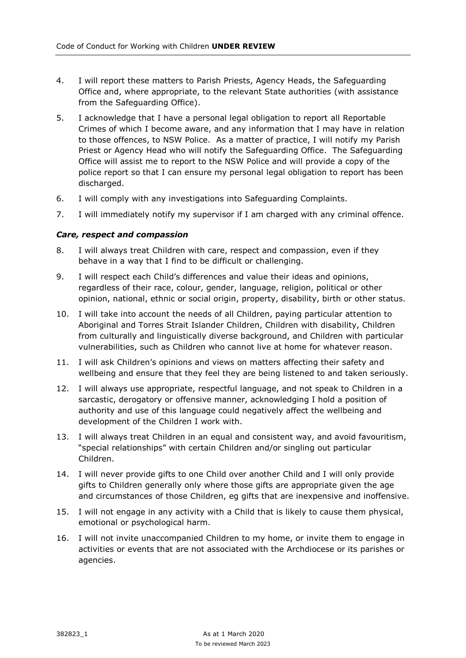- 4. I will report these matters to Parish Priests, Agency Heads, the Safeguarding Office and, where appropriate, to the relevant State authorities (with assistance from the Safeguarding Office).
- 5. I acknowledge that I have a personal legal obligation to report all Reportable Crimes of which I become aware, and any information that I may have in relation to those offences, to NSW Police. As a matter of practice, I will notify my Parish Priest or Agency Head who will notify the Safeguarding Office. The Safeguarding Office will assist me to report to the NSW Police and will provide a copy of the police report so that I can ensure my personal legal obligation to report has been discharged.
- 6. I will comply with any investigations into Safeguarding Complaints.
- 7. I will immediately notify my supervisor if I am charged with any criminal offence.

#### *Care, respect and compassion*

- 8. I will always treat Children with care, respect and compassion, even if they behave in a way that I find to be difficult or challenging.
- 9. I will respect each Child's differences and value their ideas and opinions, regardless of their race, colour, gender, language, religion, political or other opinion, national, ethnic or social origin, property, disability, birth or other status.
- 10. I will take into account the needs of all Children, paying particular attention to Aboriginal and Torres Strait Islander Children, Children with disability, Children from culturally and linguistically diverse background, and Children with particular vulnerabilities, such as Children who cannot live at home for whatever reason.
- 11. I will ask Children's opinions and views on matters affecting their safety and wellbeing and ensure that they feel they are being listened to and taken seriously.
- 12. I will always use appropriate, respectful language, and not speak to Children in a sarcastic, derogatory or offensive manner, acknowledging I hold a position of authority and use of this language could negatively affect the wellbeing and development of the Children I work with.
- 13. I will always treat Children in an equal and consistent way, and avoid favouritism, "special relationships" with certain Children and/or singling out particular Children.
- 14. I will never provide gifts to one Child over another Child and I will only provide gifts to Children generally only where those gifts are appropriate given the age and circumstances of those Children, eg gifts that are inexpensive and inoffensive.
- 15. I will not engage in any activity with a Child that is likely to cause them physical, emotional or psychological harm.
- 16. I will not invite unaccompanied Children to my home, or invite them to engage in activities or events that are not associated with the Archdiocese or its parishes or agencies.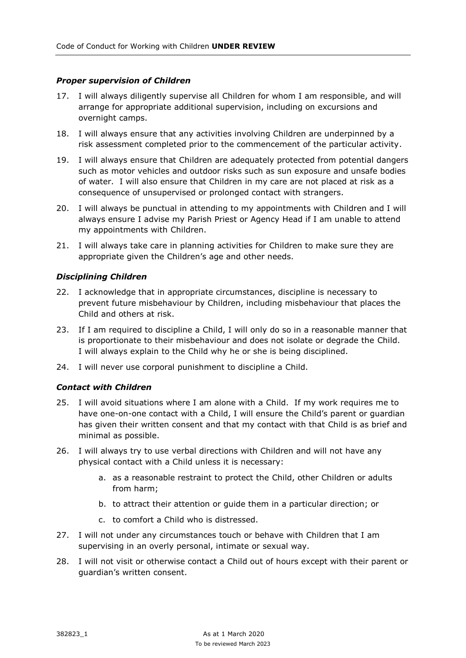#### *Proper supervision of Children*

- 17. I will always diligently supervise all Children for whom I am responsible, and will arrange for appropriate additional supervision, including on excursions and overnight camps.
- 18. I will always ensure that any activities involving Children are underpinned by a risk assessment completed prior to the commencement of the particular activity.
- 19. I will always ensure that Children are adequately protected from potential dangers such as motor vehicles and outdoor risks such as sun exposure and unsafe bodies of water. I will also ensure that Children in my care are not placed at risk as a consequence of unsupervised or prolonged contact with strangers.
- 20. I will always be punctual in attending to my appointments with Children and I will always ensure I advise my Parish Priest or Agency Head if I am unable to attend my appointments with Children.
- 21. I will always take care in planning activities for Children to make sure they are appropriate given the Children's age and other needs.

#### *Disciplining Children*

- 22. I acknowledge that in appropriate circumstances, discipline is necessary to prevent future misbehaviour by Children, including misbehaviour that places the Child and others at risk.
- 23. If I am required to discipline a Child, I will only do so in a reasonable manner that is proportionate to their misbehaviour and does not isolate or degrade the Child. I will always explain to the Child why he or she is being disciplined.
- 24. I will never use corporal punishment to discipline a Child.

#### *Contact with Children*

- 25. I will avoid situations where I am alone with a Child. If my work requires me to have one-on-one contact with a Child, I will ensure the Child's parent or guardian has given their written consent and that my contact with that Child is as brief and minimal as possible.
- 26. I will always try to use verbal directions with Children and will not have any physical contact with a Child unless it is necessary:
	- a. as a reasonable restraint to protect the Child, other Children or adults from harm;
	- b. to attract their attention or guide them in a particular direction; or
	- c. to comfort a Child who is distressed.
- 27. I will not under any circumstances touch or behave with Children that I am supervising in an overly personal, intimate or sexual way.
- 28. I will not visit or otherwise contact a Child out of hours except with their parent or guardian's written consent.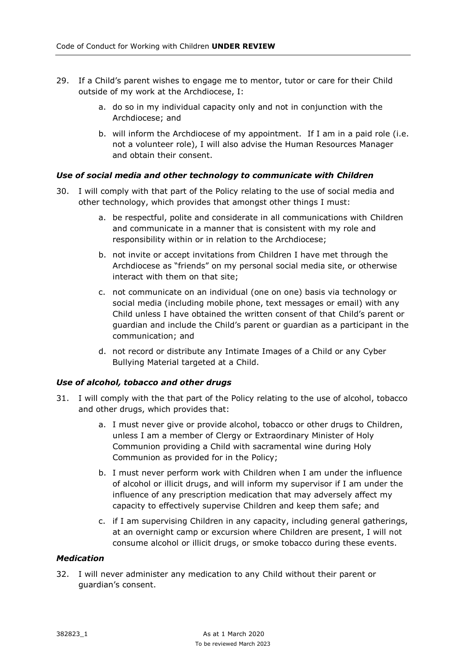- 29. If a Child's parent wishes to engage me to mentor, tutor or care for their Child outside of my work at the Archdiocese, I:
	- a. do so in my individual capacity only and not in conjunction with the Archdiocese; and
	- b. will inform the Archdiocese of my appointment. If I am in a paid role (i.e. not a volunteer role), I will also advise the Human Resources Manager and obtain their consent.

#### *Use of social media and other technology to communicate with Children*

- 30. I will comply with that part of the Policy relating to the use of social media and other technology, which provides that amongst other things I must:
	- a. be respectful, polite and considerate in all communications with Children and communicate in a manner that is consistent with my role and responsibility within or in relation to the Archdiocese;
	- b. not invite or accept invitations from Children I have met through the Archdiocese as "friends" on my personal social media site, or otherwise interact with them on that site;
	- c. not communicate on an individual (one on one) basis via technology or social media (including mobile phone, text messages or email) with any Child unless I have obtained the written consent of that Child's parent or guardian and include the Child's parent or guardian as a participant in the communication; and
	- d. not record or distribute any Intimate Images of a Child or any Cyber Bullying Material targeted at a Child.

#### *Use of alcohol, tobacco and other drugs*

- 31. I will comply with the that part of the Policy relating to the use of alcohol, tobacco and other drugs, which provides that:
	- a. I must never give or provide alcohol, tobacco or other drugs to Children, unless I am a member of Clergy or Extraordinary Minister of Holy Communion providing a Child with sacramental wine during Holy Communion as provided for in the Policy;
	- b. I must never perform work with Children when I am under the influence of alcohol or illicit drugs, and will inform my supervisor if I am under the influence of any prescription medication that may adversely affect my capacity to effectively supervise Children and keep them safe; and
	- c. if I am supervising Children in any capacity, including general gatherings, at an overnight camp or excursion where Children are present, I will not consume alcohol or illicit drugs, or smoke tobacco during these events.

#### *Medication*

32. I will never administer any medication to any Child without their parent or guardian's consent.